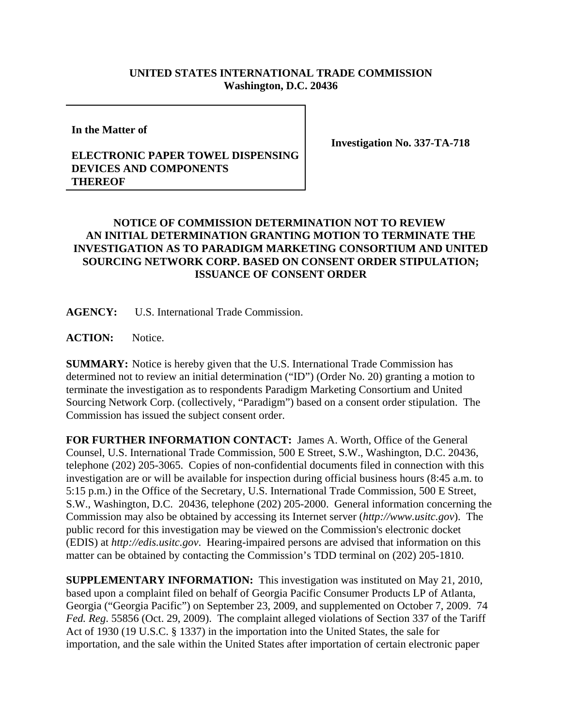## **UNITED STATES INTERNATIONAL TRADE COMMISSION Washington, D.C. 20436**

**In the Matter of**

**Investigation No. 337-TA-718**

## **ELECTRONIC PAPER TOWEL DISPENSING DEVICES AND COMPONENTS THEREOF**

## **NOTICE OF COMMISSION DETERMINATION NOT TO REVIEW AN INITIAL DETERMINATION GRANTING MOTION TO TERMINATE THE INVESTIGATION AS TO PARADIGM MARKETING CONSORTIUM AND UNITED SOURCING NETWORK CORP. BASED ON CONSENT ORDER STIPULATION; ISSUANCE OF CONSENT ORDER**

**AGENCY:** U.S. International Trade Commission.

**ACTION:** Notice.

**SUMMARY:** Notice is hereby given that the U.S. International Trade Commission has determined not to review an initial determination ("ID") (Order No. 20) granting a motion to terminate the investigation as to respondents Paradigm Marketing Consortium and United Sourcing Network Corp. (collectively, "Paradigm") based on a consent order stipulation. The Commission has issued the subject consent order.

**FOR FURTHER INFORMATION CONTACT:** James A. Worth, Office of the General Counsel, U.S. International Trade Commission, 500 E Street, S.W., Washington, D.C. 20436, telephone (202) 205-3065. Copies of non-confidential documents filed in connection with this investigation are or will be available for inspection during official business hours (8:45 a.m. to 5:15 p.m.) in the Office of the Secretary, U.S. International Trade Commission, 500 E Street, S.W., Washington, D.C. 20436, telephone (202) 205-2000. General information concerning the Commission may also be obtained by accessing its Internet server (*http://www.usitc.gov*). The public record for this investigation may be viewed on the Commission's electronic docket (EDIS) at *http://edis.usitc.gov*. Hearing-impaired persons are advised that information on this matter can be obtained by contacting the Commission's TDD terminal on (202) 205-1810.

**SUPPLEMENTARY INFORMATION:** This investigation was instituted on May 21, 2010, based upon a complaint filed on behalf of Georgia Pacific Consumer Products LP of Atlanta, Georgia ("Georgia Pacific") on September 23, 2009, and supplemented on October 7, 2009. 74 *Fed. Reg*. 55856 (Oct. 29, 2009). The complaint alleged violations of Section 337 of the Tariff Act of 1930 (19 U.S.C. § 1337) in the importation into the United States, the sale for importation, and the sale within the United States after importation of certain electronic paper